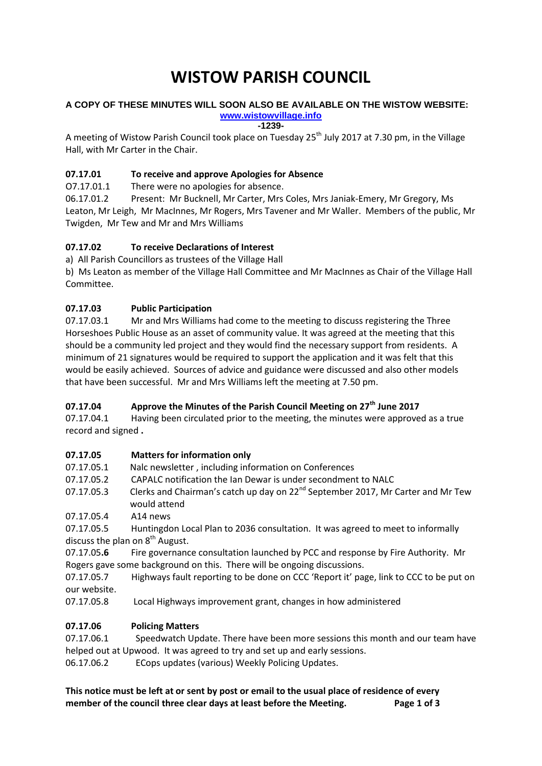# **WISTOW PARISH COUNCIL**

#### **A COPY OF THESE MINUTES WILL SOON ALSO BE AVAILABLE ON THE WISTOW WEBSITE: [www.wistowvillage.info](http://www.wistowvillage.info/)**

**-1239-**

A meeting of Wistow Parish Council took place on Tuesday 25<sup>th</sup> July 2017 at 7.30 pm, in the Village Hall, with Mr Carter in the Chair.

## **07.17.01 To receive and approve Apologies for Absence**

O7.17.01.1 There were no apologies for absence.

06.17.01.2 Present: Mr Bucknell, Mr Carter, Mrs Coles, Mrs Janiak-Emery, Mr Gregory, Ms Leaton, Mr Leigh, Mr MacInnes, Mr Rogers, Mrs Tavener and Mr Waller. Members of the public, Mr Twigden, Mr Tew and Mr and Mrs Williams

## **07.17.02 To receive Declarations of Interest**

a) All Parish Councillors as trustees of the Village Hall

b) Ms Leaton as member of the Village Hall Committee and Mr MacInnes as Chair of the Village Hall Committee.

## **07.17.03 Public Participation**

07.17.03.1 Mr and Mrs Williams had come to the meeting to discuss registering the Three Horseshoes Public House as an asset of community value. It was agreed at the meeting that this should be a community led project and they would find the necessary support from residents. A minimum of 21 signatures would be required to support the application and it was felt that this would be easily achieved. Sources of advice and guidance were discussed and also other models that have been successful. Mr and Mrs Williams left the meeting at 7.50 pm.

## **07.17.04 Approve the Minutes of the Parish Council Meeting on 27th June 2017**

07.17.04.1 Having been circulated prior to the meeting, the minutes were approved as a true record and signed **.**

## **07.17.05 Matters for information only**

- 07.17.05.1 Nalc newsletter , including information on Conferences
- 07.17.05.2 CAPALC notification the Ian Dewar is under secondment to NALC
- 07.17.05.3 Clerks and Chairman's catch up day on 22<sup>nd</sup> September 2017, Mr Carter and Mr Tew would attend
- 07.17.05.4 A14 news

07.17.05.5 Huntingdon Local Plan to 2036 consultation. It was agreed to meet to informally discuss the plan on  $8<sup>th</sup>$  August.

07.17.05**.6** Fire governance consultation launched by PCC and response by Fire Authority. Mr Rogers gave some background on this. There will be ongoing discussions.

07.17.05.7 Highways fault reporting to be done on CCC 'Report it' page, link to CCC to be put on our website.

07.17.05.8 Local Highways improvement grant, changes in how administered

## **07.17.06 Policing Matters**

07.17.06.1 Speedwatch Update. There have been more sessions this month and our team have helped out at Upwood. It was agreed to try and set up and early sessions. 06.17.06.2 ECops updates (various) Weekly Policing Updates.

**This notice must be left at or sent by post or email to the usual place of residence of every member of the council three clear days at least before the Meeting. Page 1 of 3**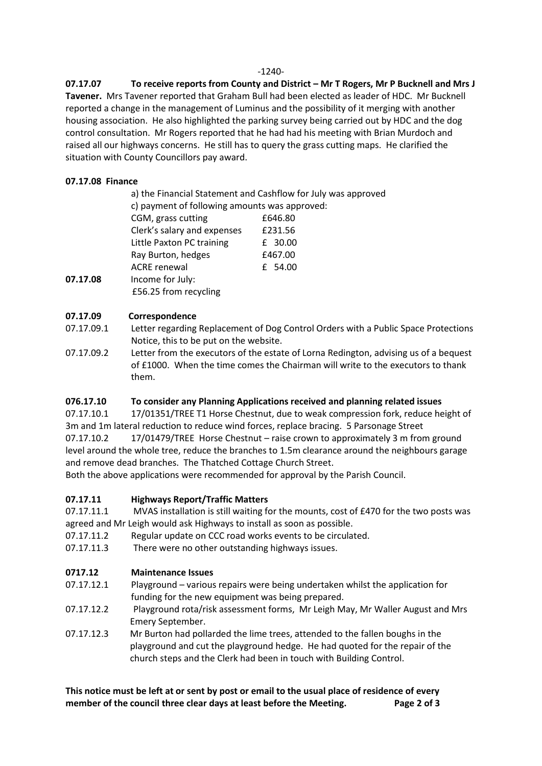#### -1240-

**07.17.07 To receive reports from County and District – Mr T Rogers, Mr P Bucknell and Mrs J Tavener.** Mrs Tavener reported that Graham Bull had been elected as leader of HDC. Mr Bucknell reported a change in the management of Luminus and the possibility of it merging with another housing association. He also highlighted the parking survey being carried out by HDC and the dog control consultation. Mr Rogers reported that he had had his meeting with Brian Murdoch and raised all our highways concerns. He still has to query the grass cutting maps. He clarified the situation with County Councillors pay award.

### **07.17.08 Finance**

|          |                             | a) the Financial Statement and Cashflow for July was approved |  |
|----------|-----------------------------|---------------------------------------------------------------|--|
|          |                             | c) payment of following amounts was approved:                 |  |
|          | CGM, grass cutting          | £646.80                                                       |  |
|          | Clerk's salary and expenses | £231.56                                                       |  |
|          | Little Paxton PC training   | £ 30.00                                                       |  |
|          | Ray Burton, hedges          | £467.00                                                       |  |
|          | <b>ACRE</b> renewal         | £ 54.00                                                       |  |
| 07.17.08 | Income for July:            |                                                               |  |
|          | £56.25 from recycling       |                                                               |  |

#### **07.17.09 Correspondence**

- 07.17.09.1 Letter regarding Replacement of Dog Control Orders with a Public Space Protections Notice, this to be put on the website.
- 07.17.09.2 Letter from the executors of the estate of Lorna Redington, advising us of a bequest of £1000. When the time comes the Chairman will write to the executors to thank them.

## **076.17.10 To consider any Planning Applications received and planning related issues**

07.17.10.1 17/01351/TREE T1 Horse Chestnut, due to weak compression fork, reduce height of 3m and 1m lateral reduction to reduce wind forces, replace bracing. 5 Parsonage Street

07.17.10.2 17/01479/TREE Horse Chestnut – raise crown to approximately 3 m from ground level around the whole tree, reduce the branches to 1.5m clearance around the neighbours garage and remove dead branches. The Thatched Cottage Church Street.

Both the above applications were recommended for approval by the Parish Council.

## **07.17.11 Highways Report/Traffic Matters**

- 07.17.11.1 MVAS installation is still waiting for the mounts, cost of £470 for the two posts was agreed and Mr Leigh would ask Highways to install as soon as possible.
- 07.17.11.2 Regular update on CCC road works events to be circulated.
- 07.17.11.3 There were no other outstanding highways issues.

## **0717.12 Maintenance Issues**

- 07.17.12.1 Playground various repairs were being undertaken whilst the application for funding for the new equipment was being prepared.
- 07.17.12.2 Playground rota/risk assessment forms, Mr Leigh May, Mr Waller August and Mrs Emery September.
- 07.17.12.3 Mr Burton had pollarded the lime trees, attended to the fallen boughs in the playground and cut the playground hedge. He had quoted for the repair of the church steps and the Clerk had been in touch with Building Control.

**This notice must be left at or sent by post or email to the usual place of residence of every member of the council three clear days at least before the Meeting. Page 2 of 3**